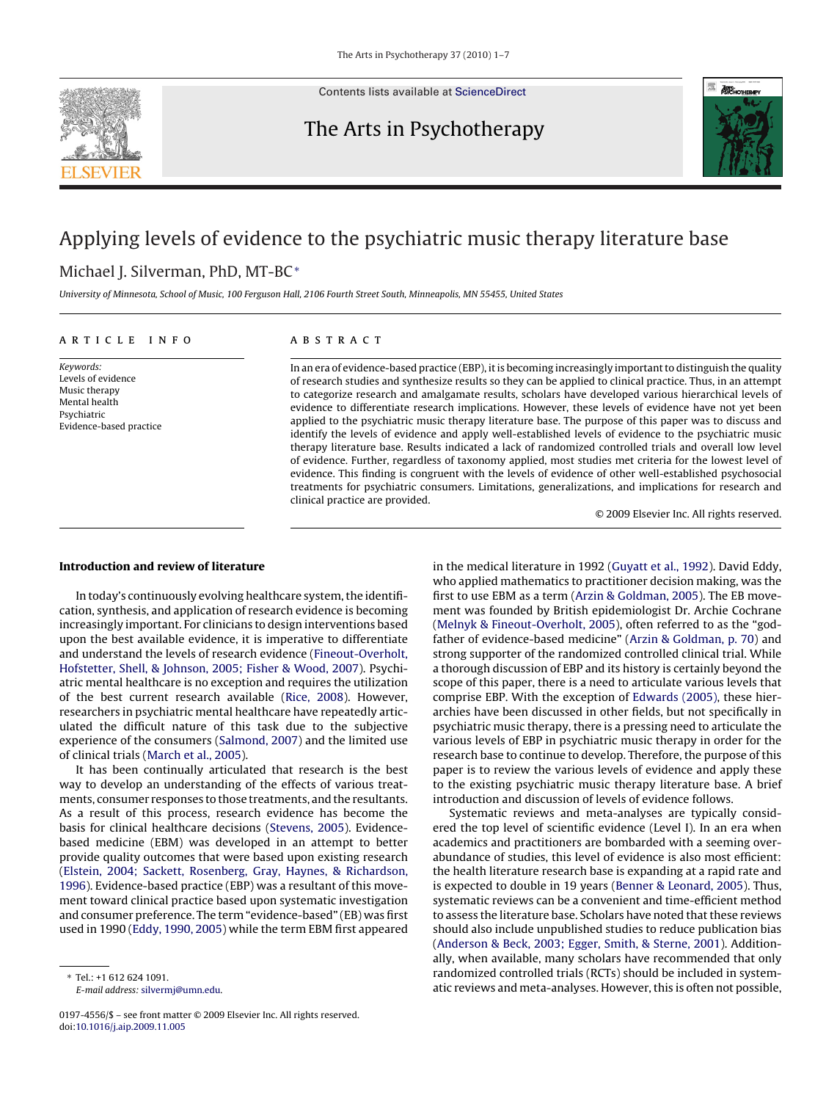

Contents lists available at [ScienceDirect](http://www.sciencedirect.com/science/journal/01974556)

## The Arts in Psychotherapy



# Applying levels of evidence to the psychiatric music therapy literature base

### Michael I. Silverman, PhD, MT-BC<sup>∗</sup>

University of Minnesota, School of Music, 100 Ferguson Hall, 2106 Fourth Street South, Minneapolis, MN 55455, United States

#### article info

Keywords: Levels of evidence Music therapy Mental health Psychiatric Evidence-based practice

### ABSTRACT

In an era of evidence-based practice (EBP), it is becoming increasingly important to distinguish the quality of research studies and synthesize results so they can be applied to clinical practice. Thus, in an attempt to categorize research and amalgamate results, scholars have developed various hierarchical levels of evidence to differentiate research implications. However, these levels of evidence have not yet been applied to the psychiatric music therapy literature base. The purpose of this paper was to discuss and identify the levels of evidence and apply well-established levels of evidence to the psychiatric music therapy literature base. Results indicated a lack of randomized controlled trials and overall low level of evidence. Further, regardless of taxonomy applied, most studies met criteria for the lowest level of evidence. This finding is congruent with the levels of evidence of other well-established psychosocial treatments for psychiatric consumers. Limitations, generalizations, and implications for research and clinical practice are provided.

© 2009 Elsevier Inc. All rights reserved.

#### **Introduction and review of literature**

In today's continuously evolving healthcare system, the identification, synthesis, and application of research evidence is becoming increasingly important. For clinicians to design interventions based upon the best available evidence, it is imperative to differentiate and understand the levels of research evidence ([Fineout-Overholt,](#page--1-0) [Hofstetter, Shell, & Johnson, 2005; Fisher & Wood, 2007\).](#page--1-0) Psychiatric mental healthcare is no exception and requires the utilization of the best current research available ([Rice, 2008\).](#page--1-0) However, researchers in psychiatric mental healthcare have repeatedly articulated the difficult nature of this task due to the subjective experience of the consumers [\(Salmond, 2007\)](#page--1-0) and the limited use of clinical trials [\(March et al., 2005\).](#page--1-0)

It has been continually articulated that research is the best way to develop an understanding of the effects of various treatments, consumer responses to those treatments, and the resultants. As a result of this process, research evidence has become the basis for clinical healthcare decisions ([Stevens, 2005\).](#page--1-0) Evidencebased medicine (EBM) was developed in an attempt to better provide quality outcomes that were based upon existing research ([Elstein, 2004; Sackett, Rosenberg, Gray, Haynes, & Richardson,](#page--1-0) [1996\).](#page--1-0) Evidence-based practice (EBP) was a resultant of this movement toward clinical practice based upon systematic investigation and consumer preference. The term "evidence-based" (EB) was first used in 1990 ([Eddy, 1990, 2005\) w](#page--1-0)hile the term EBM first appeared

E-mail address: [silvermj@umn.edu](mailto:silvermj@umn.edu).

in the medical literature in 1992 [\(Guyatt et al., 1992\).](#page--1-0) David Eddy, who applied mathematics to practitioner decision making, was the first to use EBM as a term [\(Arzin & Goldman, 2005\).](#page--1-0) The EB movement was founded by British epidemiologist Dr. Archie Cochrane [\(Melnyk & Fineout-Overholt, 2005\),](#page--1-0) often referred to as the "godfather of evidence-based medicine" [\(Arzin & Goldman, p. 70\)](#page--1-0) and strong supporter of the randomized controlled clinical trial. While a thorough discussion of EBP and its history is certainly beyond the scope of this paper, there is a need to articulate various levels that comprise EBP. With the exception of [Edwards \(2005\), t](#page--1-0)hese hierarchies have been discussed in other fields, but not specifically in psychiatric music therapy, there is a pressing need to articulate the various levels of EBP in psychiatric music therapy in order for the research base to continue to develop. Therefore, the purpose of this paper is to review the various levels of evidence and apply these to the existing psychiatric music therapy literature base. A brief introduction and discussion of levels of evidence follows.

Systematic reviews and meta-analyses are typically considered the top level of scientific evidence (Level I). In an era when academics and practitioners are bombarded with a seeming overabundance of studies, this level of evidence is also most efficient: the health literature research base is expanding at a rapid rate and is expected to double in 19 years [\(Benner & Leonard, 2005\).](#page--1-0) Thus, systematic reviews can be a convenient and time-efficient method to assess the literature base. Scholars have noted that these reviews should also include unpublished studies to reduce publication bias [\(Anderson & Beck, 2003; Egger, Smith, & Sterne, 2001\).](#page--1-0) Additionally, when available, many scholars have recommended that only randomized controlled trials (RCTs) should be included in systematic reviews and meta-analyses. However, this is often not possible,

 $Tel + 16126241091$ 

<sup>0197-4556/\$ –</sup> see front matter © 2009 Elsevier Inc. All rights reserved. doi:[10.1016/j.aip.2009.11.005](dx.doi.org/10.1016/j.aip.2009.11.005)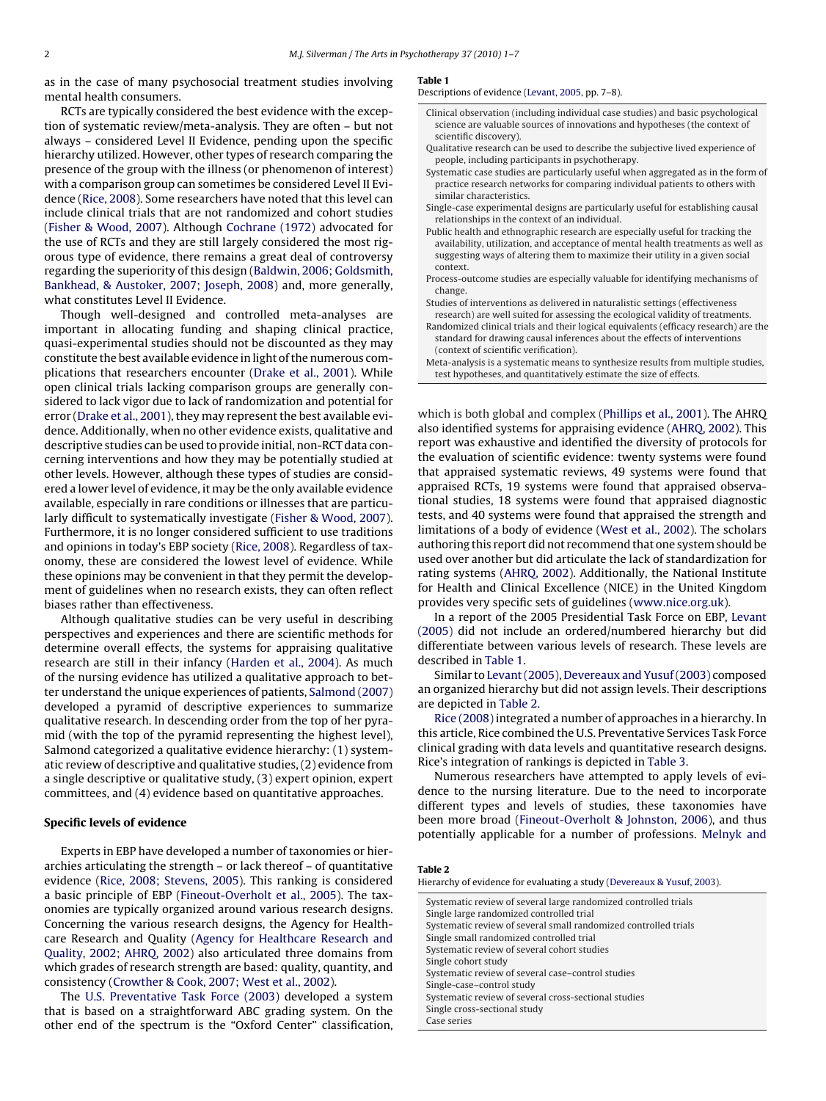as in the case of many psychosocial treatment studies involving mental health consumers.

RCTs are typically considered the best evidence with the exception of systematic review/meta-analysis. They are often – but not always – considered Level II Evidence, pending upon the specific hierarchy utilized. However, other types of research comparing the presence of the group with the illness (or phenomenon of interest) with a comparison group can sometimes be considered Level II Evidence [\(Rice, 2008\).](#page--1-0) Some researchers have noted that this level can include clinical trials that are not randomized and cohort studies ([Fisher & Wood, 2007\).](#page--1-0) Although [Cochrane \(1972\)](#page--1-0) advocated for the use of RCTs and they are still largely considered the most rigorous type of evidence, there remains a great deal of controversy regarding the superiority of this design ([Baldwin, 2006; Goldsmith,](#page--1-0) [Bankhead, & Austoker, 2007; Joseph, 2008\)](#page--1-0) and, more generally, what constitutes Level II Evidence.

Though well-designed and controlled meta-analyses are important in allocating funding and shaping clinical practice, quasi-experimental studies should not be discounted as they may constitute the best available evidence in light of the numerous complications that researchers encounter [\(Drake et al., 2001\).](#page--1-0) While open clinical trials lacking comparison groups are generally considered to lack vigor due to lack of randomization and potential for error ([Drake et al., 2001\),](#page--1-0) they may represent the best available evidence. Additionally, when no other evidence exists, qualitative and descriptive studies can be used to provide initial, non-RCT data concerning interventions and how they may be potentially studied at other levels. However, although these types of studies are considered a lower level of evidence, it may be the only available evidence available, especially in rare conditions or illnesses that are particularly difficult to systematically investigate [\(Fisher & Wood, 2007\).](#page--1-0) Furthermore, it is no longer considered sufficient to use traditions and opinions in today's EBP society ([Rice, 2008\).](#page--1-0) Regardless of taxonomy, these are considered the lowest level of evidence. While these opinions may be convenient in that they permit the development of guidelines when no research exists, they can often reflect biases rather than effectiveness.

Although qualitative studies can be very useful in describing perspectives and experiences and there are scientific methods for determine overall effects, the systems for appraising qualitative research are still in their infancy ([Harden et al., 2004\).](#page--1-0) As much of the nursing evidence has utilized a qualitative approach to better understand the unique experiences of patients, [Salmond \(2007\)](#page--1-0) developed a pyramid of descriptive experiences to summarize qualitative research. In descending order from the top of her pyramid (with the top of the pyramid representing the highest level), Salmond categorized a qualitative evidence hierarchy: (1) systematic review of descriptive and qualitative studies, (2) evidence from a single descriptive or qualitative study, (3) expert opinion, expert committees, and (4) evidence based on quantitative approaches.

#### **Specific levels of evidence**

Experts in EBP have developed a number of taxonomies or hierarchies articulating the strength – or lack thereof – of quantitative evidence [\(Rice, 2008; Stevens, 2005\).](#page--1-0) This ranking is considered a basic principle of EBP [\(Fineout-Overholt et al., 2005\).](#page--1-0) The taxonomies are typically organized around various research designs. Concerning the various research designs, the Agency for Healthcare Research and Quality [\(Agency for Healthcare Research and](#page--1-0) [Quality, 2002; AHRQ, 2002\)](#page--1-0) also articulated three domains from which grades of research strength are based: quality, quantity, and consistency ([Crowther & Cook, 2007; West et al., 2002\).](#page--1-0)

The [U.S. Preventative Task Force \(2003\)](#page--1-0) developed a system that is based on a straightforward ABC grading system. On the other end of the spectrum is the "Oxford Center" classification,

#### **Table 1**

#### Descriptions of evidence [\(Levant, 2005, p](#page--1-0)p. 7–8).

- Clinical observation (including individual case studies) and basic psychological science are valuable sources of innovations and hypotheses (the context of scientific discovery).
- Qualitative research can be used to describe the subjective lived experience of people, including participants in psychotherapy.
- Systematic case studies are particularly useful when aggregated as in the form of practice research networks for comparing individual patients to others with similar characteristics.
- Single-case experimental designs are particularly useful for establishing causal relationships in the context of an individual.
- Public health and ethnographic research are especially useful for tracking the availability, utilization, and acceptance of mental health treatments as well as suggesting ways of altering them to maximize their utility in a given social context.
- Process-outcome studies are especially valuable for identifying mechanisms of change.
- Studies of interventions as delivered in naturalistic settings (effectiveness
- research) are well suited for assessing the ecological validity of treatments. Randomized clinical trials and their logical equivalents (efficacy research) are the standard for drawing causal inferences about the effects of interventions (context of scientific verification).
- Meta-analysis is a systematic means to synthesize results from multiple studies, test hypotheses, and quantitatively estimate the size of effects.

which is both global and complex ([Phillips et al., 2001\).](#page--1-0) The AHRQ also identified systems for appraising evidence [\(AHRQ, 2002\).](#page--1-0) This report was exhaustive and identified the diversity of protocols for the evaluation of scientific evidence: twenty systems were found that appraised systematic reviews, 49 systems were found that appraised RCTs, 19 systems were found that appraised observational studies, 18 systems were found that appraised diagnostic tests, and 40 systems were found that appraised the strength and limitations of a body of evidence [\(West et al., 2002\).](#page--1-0) The scholars authoring this report did not recommend that one system should be used over another but did articulate the lack of standardization for rating systems ([AHRQ, 2002\).](#page--1-0) Additionally, the National Institute for Health and Clinical Excellence (NICE) in the United Kingdom provides very specific sets of guidelines ([www.nice.org.uk](http://www.nice.org.uk/)).

In a report of the 2005 Presidential Task Force on EBP, [Levant](#page--1-0) [\(2005\)](#page--1-0) did not include an ordered/numbered hierarchy but did differentiate between various levels of research. These levels are described in Table 1.

Similar to [Levant \(2005\),](#page--1-0) [Devereaux and Yusuf \(2003\)](#page--1-0) composed an organized hierarchy but did not assign levels. Their descriptions are depicted in Table 2.

[Rice \(2008\)](#page--1-0) integrated a number of approaches in a hierarchy. In this article, Rice combined the U.S. Preventative Services Task Force clinical grading with data levels and quantitative research designs. Rice's integration of rankings is depicted in [Table 3.](#page--1-0)

Numerous researchers have attempted to apply levels of evidence to the nursing literature. Due to the need to incorporate different types and levels of studies, these taxonomies have been more broad ([Fineout-Overholt & Johnston, 2006\),](#page--1-0) and thus potentially applicable for a number of professions. [Melnyk and](#page--1-0)

#### **Table 2**

Hierarchy of evidence for evaluating a study ([Devereaux & Yusuf, 2003\).](#page--1-0)

| Systematic review of several large randomized controlled trials |
|-----------------------------------------------------------------|
| Single large randomized controlled trial                        |
| Systematic review of several small randomized controlled trials |
| Single small randomized controlled trial                        |
| Systematic review of several cohort studies                     |
| Single cohort study                                             |
| Systematic review of several case-control studies               |
| Single-case-control study                                       |
| Systematic review of several cross-sectional studies            |
| Single cross-sectional study                                    |
| Case series                                                     |
|                                                                 |